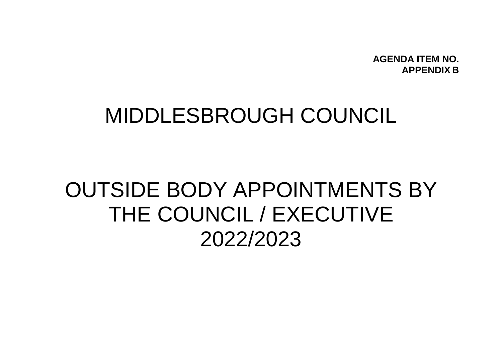**AGENDA ITEM NO. APPENDIX B**

## MIDDLESBROUGH COUNCIL

## OUTSIDE BODY APPOINTMENTS BY THE COUNCIL / EXECUTIVE 2022/2023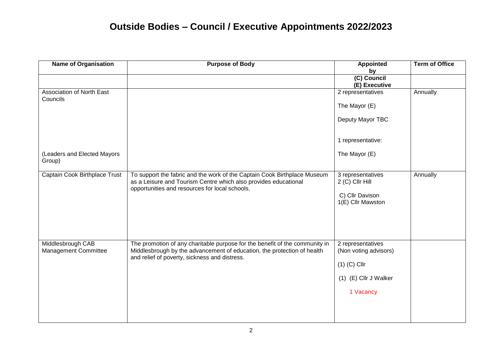## **Outside Bodies – Council / Executive Appointments 2022/2023**

| <b>Name of Organisation</b>               | <b>Purpose of Body</b>                                                                                                                                                                                  | <b>Appointed</b>                                                                                   | <b>Term of Office</b> |
|-------------------------------------------|---------------------------------------------------------------------------------------------------------------------------------------------------------------------------------------------------------|----------------------------------------------------------------------------------------------------|-----------------------|
|                                           |                                                                                                                                                                                                         | by<br>(C) Council<br>(E) Executive                                                                 |                       |
| Association of North East<br>Councils     |                                                                                                                                                                                                         | 2 representatives                                                                                  | Annually              |
|                                           |                                                                                                                                                                                                         | The Mayor (E)                                                                                      |                       |
|                                           |                                                                                                                                                                                                         | Deputy Mayor TBC                                                                                   |                       |
|                                           |                                                                                                                                                                                                         | 1 representative:                                                                                  |                       |
| (Leaders and Elected Mayors<br>Group)     |                                                                                                                                                                                                         | The Mayor (E)                                                                                      |                       |
| Captain Cook Birthplace Trust             | To support the fabric and the work of the Captain Cook Birthplace Museum<br>as a Leisure and Tourism Centre which also provides educational<br>opportunities and resources for local schools.           | 3 representatives<br>2 (C) Cllr Hill<br>C) Cllr Davison<br>1(E) Cllr Mawston                       | Annually              |
| Middlesbrough CAB<br>Management Committee | The promotion of any charitable purpose for the benefit of the community in<br>Middlesbrough by the advancement of education, the protection of health<br>and relief of poverty, sickness and distress. | 2 representatives<br>(Non voting advisors)<br>$(1)$ (C) Cllr<br>(1) (E) Cllr J Walker<br>1 Vacancy |                       |
|                                           |                                                                                                                                                                                                         |                                                                                                    |                       |